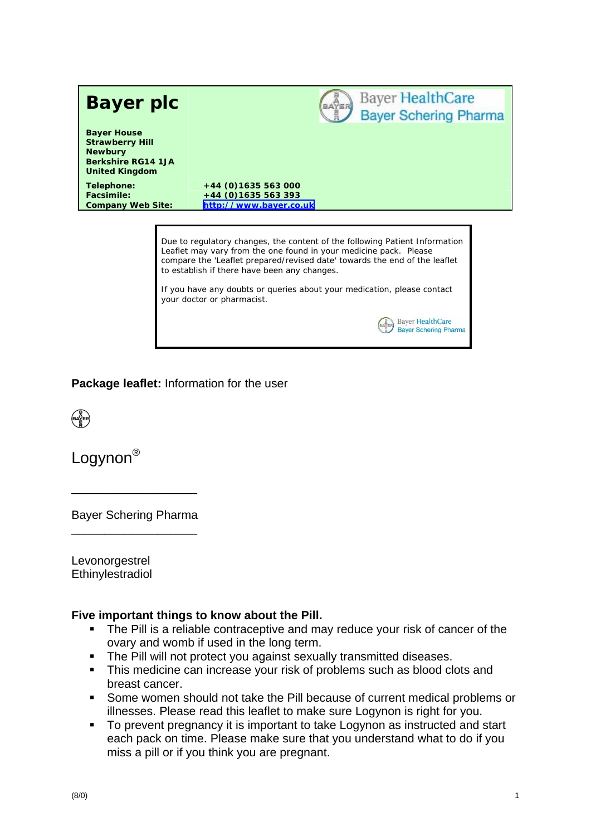

**Bayer HealthCare Bayer Schering Pharma** 

### **Package leaflet:** Information for the user



Logynon<sup>®</sup>

Bayer Schering Pharma \_\_\_\_\_\_\_\_\_\_\_\_\_\_\_\_\_\_\_

\_\_\_\_\_\_\_\_\_\_\_\_\_\_\_\_\_\_\_

Levonorgestrel Ethinylestradiol

#### **Five important things to know about the Pill.**

- The Pill is a reliable contraceptive and may reduce your risk of cancer of the ovary and womb if used in the long term.
- The Pill will not protect you against sexually transmitted diseases.
- This medicine can increase your risk of problems such as blood clots and breast cancer.
- Some women should not take the Pill because of current medical problems or illnesses. Please read this leaflet to make sure Logynon is right for you.
- To prevent pregnancy it is important to take Logynon as instructed and start each pack on time. Please make sure that you understand what to do if you miss a pill or if you think you are pregnant.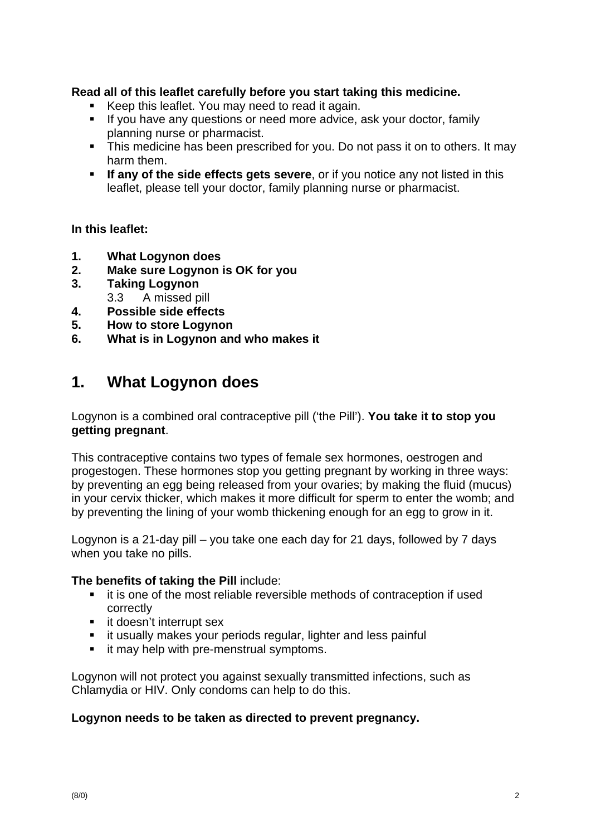### **Read all of this leaflet carefully before you start taking this medicine.**

- Keep this leaflet. You may need to read it again.
- If you have any questions or need more advice, ask your doctor, family planning nurse or pharmacist.
- This medicine has been prescribed for you. Do not pass it on to others. It may harm them.
- **If any of the side effects gets severe**, or if you notice any not listed in this leaflet, please tell your doctor, family planning nurse or pharmacist.

#### **In this leaflet:**

- **1. What Logynon does**
- **2. Make sure Logynon is OK for you**
- **3. Taking Logynon**  3.3 A missed pill
- **4. Possible side effects**
- **5. How to store Logynon**
- **6. What is in Logynon and who makes it**

# **1. What Logynon does**

Logynon is a combined oral contraceptive pill ('the Pill'). **You take it to stop you getting pregnant**.

This contraceptive contains two types of female sex hormones, oestrogen and progestogen. These hormones stop you getting pregnant by working in three ways: by preventing an egg being released from your ovaries; by making the fluid (mucus) in your cervix thicker, which makes it more difficult for sperm to enter the womb; and by preventing the lining of your womb thickening enough for an egg to grow in it.

Logynon is a 21-day pill – you take one each day for 21 days, followed by 7 days when you take no pills.

#### **The benefits of taking the Pill** include:

- **i** it is one of the most reliable reversible methods of contraception if used correctly
- **if doesn't interrupt sex**
- **EXT** it usually makes your periods regular, lighter and less painful
- it may help with pre-menstrual symptoms.

Logynon will not protect you against sexually transmitted infections, such as Chlamydia or HIV. Only condoms can help to do this.

#### **Logynon needs to be taken as directed to prevent pregnancy.**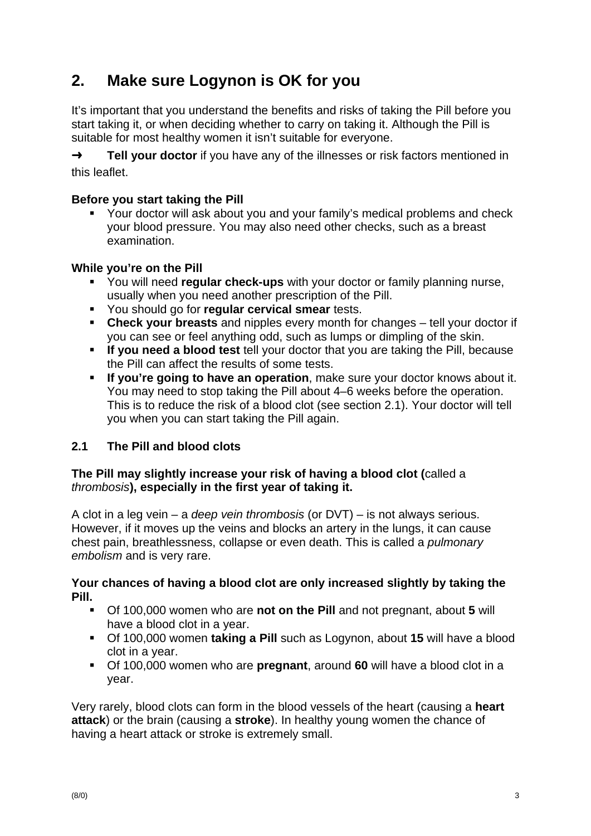# **2. Make sure Logynon is OK for you**

It's important that you understand the benefits and risks of taking the Pill before you start taking it, or when deciding whether to carry on taking it. Although the Pill is suitable for most healthy women it isn't suitable for everyone.

→ **Tell your doctor** if you have any of the illnesses or risk factors mentioned in this leaflet.

## **Before you start taking the Pill**

 Your doctor will ask about you and your family's medical problems and check your blood pressure. You may also need other checks, such as a breast examination.

### **While you're on the Pill**

- You will need **regular check-ups** with your doctor or family planning nurse, usually when you need another prescription of the Pill.
- You should go for **regular cervical smear** tests.
- **Check your breasts** and nipples every month for changes tell your doctor if you can see or feel anything odd, such as lumps or dimpling of the skin.
- **If you need a blood test** tell your doctor that you are taking the Pill, because the Pill can affect the results of some tests.
- **If you're going to have an operation**, make sure your doctor knows about it. You may need to stop taking the Pill about 4–6 weeks before the operation. This is to reduce the risk of a blood clot (see section 2.1). Your doctor will tell you when you can start taking the Pill again.

## **2.1 The Pill and blood clots**

### **The Pill may slightly increase your risk of having a blood clot (**called a *thrombosis***), especially in the first year of taking it.**

A clot in a leg vein – a *deep vein thrombosis* (or DVT) – is not always serious. However, if it moves up the veins and blocks an artery in the lungs, it can cause chest pain, breathlessness, collapse or even death. This is called a *pulmonary embolism* and is very rare.

### **Your chances of having a blood clot are only increased slightly by taking the Pill.**

- Of 100,000 women who are **not on the Pill** and not pregnant, about **5** will have a blood clot in a year.
- Of 100,000 women **taking a Pill** such as Logynon, about **15** will have a blood clot in a year.
- Of 100,000 women who are **pregnant**, around **60** will have a blood clot in a year.

Very rarely, blood clots can form in the blood vessels of the heart (causing a **heart attack**) or the brain (causing a **stroke**). In healthy young women the chance of having a heart attack or stroke is extremely small.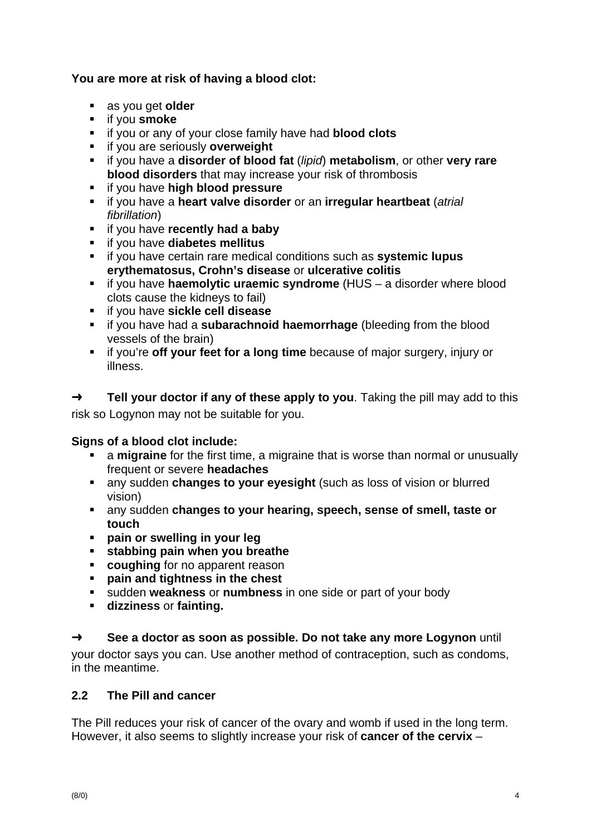## **You are more at risk of having a blood clot:**

- as you get **older**
- **if you smoke**
- if you or any of your close family have had **blood clots**
- if you are seriously **overweight**
- if you have a **disorder of blood fat** (*lipid*) **metabolism**, or other **very rare blood disorders** that may increase your risk of thrombosis
- if you have **high blood pressure**
- if you have a **heart valve disorder** or an **irregular heartbeat** (*atrial fibrillation*)
- **i** if you have **recently had a baby**
- if you have **diabetes mellitus**
- if you have certain rare medical conditions such as **systemic lupus erythematosus, Crohn's disease** or **ulcerative colitis**
- if you have **haemolytic uraemic syndrome** (HUS a disorder where blood clots cause the kidneys to fail)
- if you have **sickle cell disease**
- if you have had a **subarachnoid haemorrhage** (bleeding from the blood vessels of the brain)
- **i** if you're off your feet for a long time because of major surgery, injury or illness.

➜ **Tell your doctor if any of these apply to you**. Taking the pill may add to this risk so Logynon may not be suitable for you.

## **Signs of a blood clot include:**

- a **migraine** for the first time, a migraine that is worse than normal or unusually frequent or severe **headaches**
- any sudden **changes to your eyesight** (such as loss of vision or blurred vision)
- any sudden **changes to your hearing, speech, sense of smell, taste or touch**
- **pain or swelling in your leg**
- **stabbing pain when you breathe**
- **coughing** for no apparent reason
- **pain and tightness in the chest**
- sudden **weakness** or **numbness** in one side or part of your body
- **dizziness** or **fainting.**

## ➜ **See a doctor as soon as possible. Do not take any more Logynon** until

your doctor says you can. Use another method of contraception, such as condoms, in the meantime.

## **2.2 The Pill and cancer**

The Pill reduces your risk of cancer of the ovary and womb if used in the long term. However, it also seems to slightly increase your risk of **cancer of the cervix** –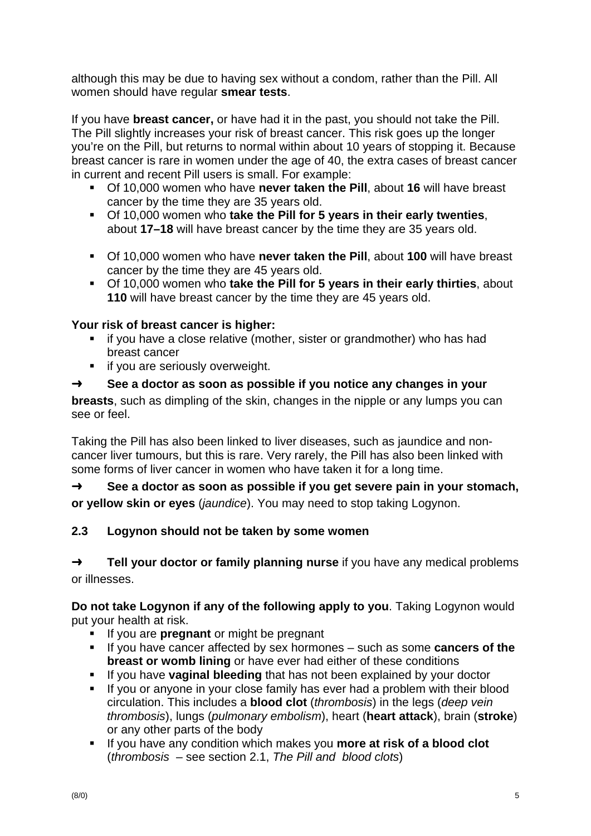although this may be due to having sex without a condom, rather than the Pill. All women should have regular **smear tests**.

If you have **breast cancer,** or have had it in the past, you should not take the Pill. The Pill slightly increases your risk of breast cancer. This risk goes up the longer you're on the Pill, but returns to normal within about 10 years of stopping it. Because breast cancer is rare in women under the age of 40, the extra cases of breast cancer in current and recent Pill users is small. For example:

- Of 10,000 women who have **never taken the Pill**, about **16** will have breast cancer by the time they are 35 years old.
- Of 10,000 women who **take the Pill for 5 years in their early twenties**, about **17–18** will have breast cancer by the time they are 35 years old.
- Of 10,000 women who have **never taken the Pill**, about **100** will have breast cancer by the time they are 45 years old.
- Of 10,000 women who **take the Pill for 5 years in their early thirties**, about **110** will have breast cancer by the time they are 45 years old.

## **Your risk of breast cancer is higher:**

- **i** if you have a close relative (mother, sister or grandmother) who has had breast cancer
- **if you are seriously overweight.**

## ➜ **See a doctor as soon as possible if you notice any changes in your**

**breasts**, such as dimpling of the skin, changes in the nipple or any lumps you can see or feel.

Taking the Pill has also been linked to liver diseases, such as jaundice and noncancer liver tumours, but this is rare. Very rarely, the Pill has also been linked with some forms of liver cancer in women who have taken it for a long time.

➜ **See a doctor as soon as possible if you get severe pain in your stomach, or yellow skin or eyes** (*jaundice*). You may need to stop taking Logynon.

## **2.3 Logynon should not be taken by some women**

➜ **Tell your doctor or family planning nurse** if you have any medical problems or illnesses.

**Do not take Logynon if any of the following apply to you**. Taking Logynon would put your health at risk.

- **If you are pregnant** or might be pregnant
- If you have cancer affected by sex hormones such as some **cancers of the breast or womb lining** or have ever had either of these conditions
- **If you have vaginal bleeding** that has not been explained by your doctor
- If you or anyone in your close family has ever had a problem with their blood circulation. This includes a **blood clot** (*thrombosis*) in the legs (*deep vein thrombosis*), lungs (*pulmonary embolism*), heart (**heart attack**), brain (**stroke**) or any other parts of the body
- **If you have any condition which makes you more at risk of a blood clot** (*thrombosis* – see section 2.1, *The Pill and blood clots*)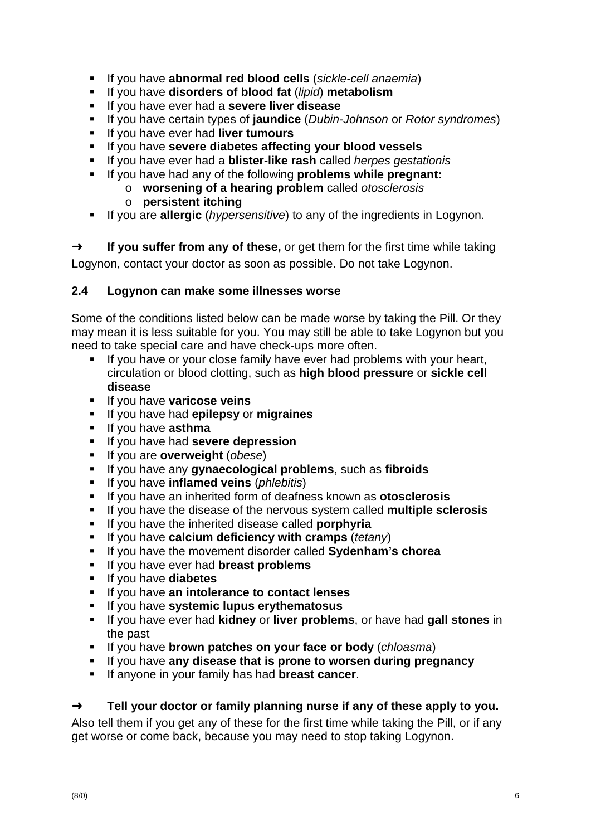- If you have **abnormal red blood cells** (*sickle-cell anaemia*)
- If you have **disorders of blood fat** (*lipid*) **metabolism**
- If you have ever had a **severe liver disease**
- If you have certain types of **jaundice** (*Dubin-Johnson* or *Rotor syndromes*)
- If you have ever had **liver tumours**
- If you have **severe diabetes affecting your blood vessels**
- If you have ever had a **blister-like rash** called *herpes gestationis*
- If you have had any of the following **problems while pregnant:**
	- o **worsening of a hearing problem** called *otosclerosis* 
		- o **persistent itching**
- If you are **allergic** (*hypersensitive*) to any of the ingredients in Logynon.

➜ **If you suffer from any of these,** or get them for the first time while taking Logynon, contact your doctor as soon as possible. Do not take Logynon.

### **2.4 Logynon can make some illnesses worse**

Some of the conditions listed below can be made worse by taking the Pill. Or they may mean it is less suitable for you. You may still be able to take Logynon but you need to take special care and have check-ups more often.

- If you have or your close family have ever had problems with your heart, circulation or blood clotting, such as **high blood pressure** or **sickle cell disease**
- **If you have varicose veins**
- If you have had **epilepsy** or **migraines**
- **If you have asthma**
- If you have had **severe depression**
- If you are **overweight** (*obese*)
- If you have any **gynaecological problems**, such as **fibroids**
- If you have **inflamed veins** (*phlebitis*)
- **If you have an inherited form of deafness known as otosclerosis**
- If you have the disease of the nervous system called **multiple sclerosis**
- If you have the inherited disease called **porphyria**
- If you have **calcium deficiency with cramps** (*tetany*)
- If you have the movement disorder called **Sydenham's chorea**
- If you have ever had **breast problems**
- If you have **diabetes**
- If you have **an intolerance to contact lenses**
- If you have **systemic lupus erythematosus**
- If you have ever had **kidney** or **liver problems**, or have had **gall stones** in the past
- If you have **brown patches on your face or body** (*chloasma*)
- If you have **any disease that is prone to worsen during pregnancy**
- **If anyone in your family has had breast cancer.**

## ➜ **Tell your doctor or family planning nurse if any of these apply to you.**

Also tell them if you get any of these for the first time while taking the Pill, or if any get worse or come back, because you may need to stop taking Logynon.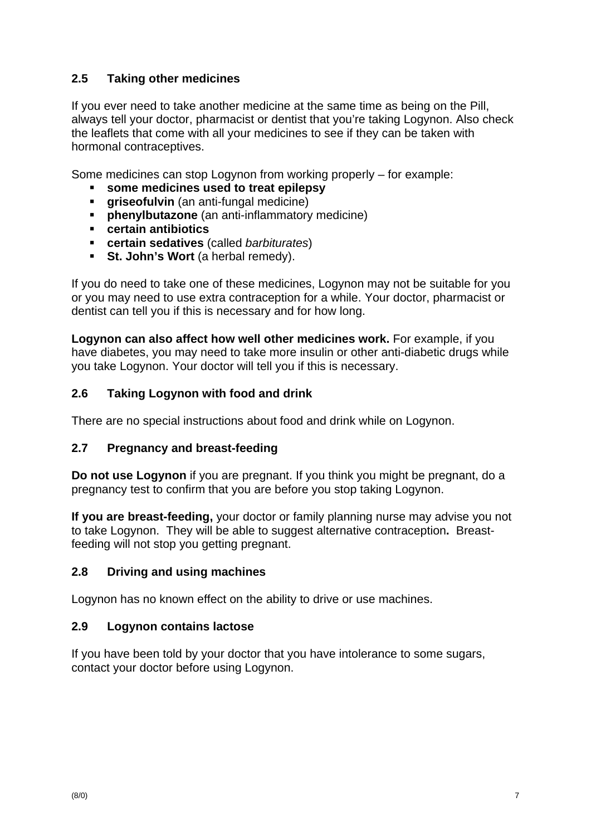## **2.5 Taking other medicines**

If you ever need to take another medicine at the same time as being on the Pill, always tell your doctor, pharmacist or dentist that you're taking Logynon. Also check the leaflets that come with all your medicines to see if they can be taken with hormonal contraceptives.

Some medicines can stop Logynon from working properly – for example:

- **some medicines used to treat epilepsy**
- **griseofulvin** (an anti-fungal medicine)
- **phenylbutazone** (an anti-inflammatory medicine)
- **certain antibiotics**
- **certain sedatives** (called *barbiturates*)
- **St. John's Wort** (a herbal remedy).

If you do need to take one of these medicines, Logynon may not be suitable for you or you may need to use extra contraception for a while. Your doctor, pharmacist or dentist can tell you if this is necessary and for how long.

**Logynon can also affect how well other medicines work.** For example, if you have diabetes, you may need to take more insulin or other anti-diabetic drugs while you take Logynon. Your doctor will tell you if this is necessary.

## **2.6 Taking Logynon with food and drink**

There are no special instructions about food and drink while on Logynon.

### **2.7 Pregnancy and breast-feeding**

**Do not use Logynon** if you are pregnant. If you think you might be pregnant, do a pregnancy test to confirm that you are before you stop taking Logynon.

**If you are breast-feeding,** your doctor or family planning nurse may advise you not to take Logynon. They will be able to suggest alternative contraception**.** Breastfeeding will not stop you getting pregnant.

## **2.8 Driving and using machines**

Logynon has no known effect on the ability to drive or use machines.

### **2.9 Logynon contains lactose**

If you have been told by your doctor that you have intolerance to some sugars, contact your doctor before using Logynon.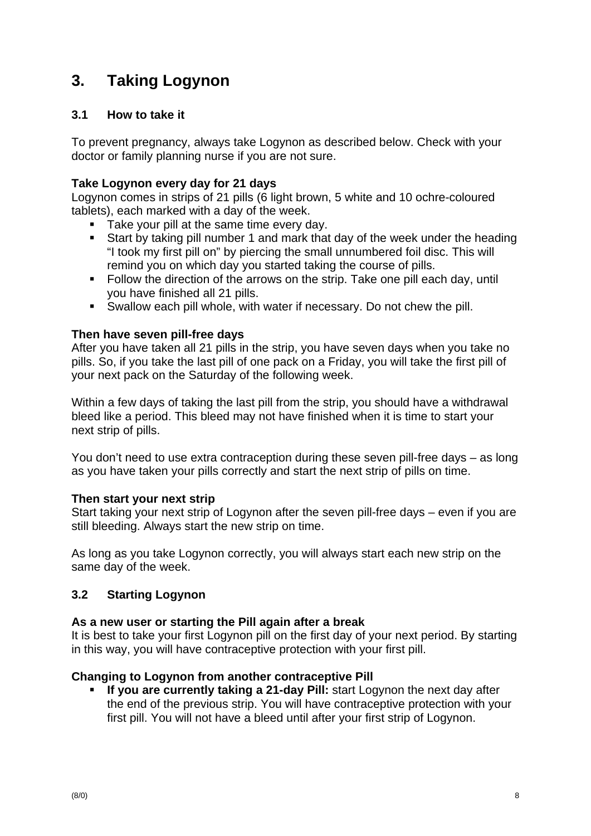# **3. Taking Logynon**

## **3.1 How to take it**

To prevent pregnancy, always take Logynon as described below. Check with your doctor or family planning nurse if you are not sure.

## **Take Logynon every day for 21 days**

Logynon comes in strips of 21 pills (6 light brown, 5 white and 10 ochre-coloured tablets), each marked with a day of the week.

- Take your pill at the same time every day.
- Start by taking pill number 1 and mark that day of the week under the heading "I took my first pill on" by piercing the small unnumbered foil disc. This will remind you on which day you started taking the course of pills.
- Follow the direction of the arrows on the strip. Take one pill each day, until you have finished all 21 pills.
- Swallow each pill whole, with water if necessary. Do not chew the pill.

### **Then have seven pill-free days**

After you have taken all 21 pills in the strip, you have seven days when you take no pills. So, if you take the last pill of one pack on a Friday, you will take the first pill of your next pack on the Saturday of the following week.

Within a few days of taking the last pill from the strip, you should have a withdrawal bleed like a period. This bleed may not have finished when it is time to start your next strip of pills.

You don't need to use extra contraception during these seven pill-free days – as long as you have taken your pills correctly and start the next strip of pills on time.

### **Then start your next strip**

Start taking your next strip of Logynon after the seven pill-free days – even if you are still bleeding. Always start the new strip on time.

As long as you take Logynon correctly, you will always start each new strip on the same day of the week.

## **3.2 Starting Logynon**

### **As a new user or starting the Pill again after a break**

It is best to take your first Logynon pill on the first day of your next period. By starting in this way, you will have contraceptive protection with your first pill.

## **Changing to Logynon from another contraceptive Pill**

 **If you are currently taking a 21-day Pill:** start Logynon the next day after the end of the previous strip. You will have contraceptive protection with your first pill. You will not have a bleed until after your first strip of Logynon.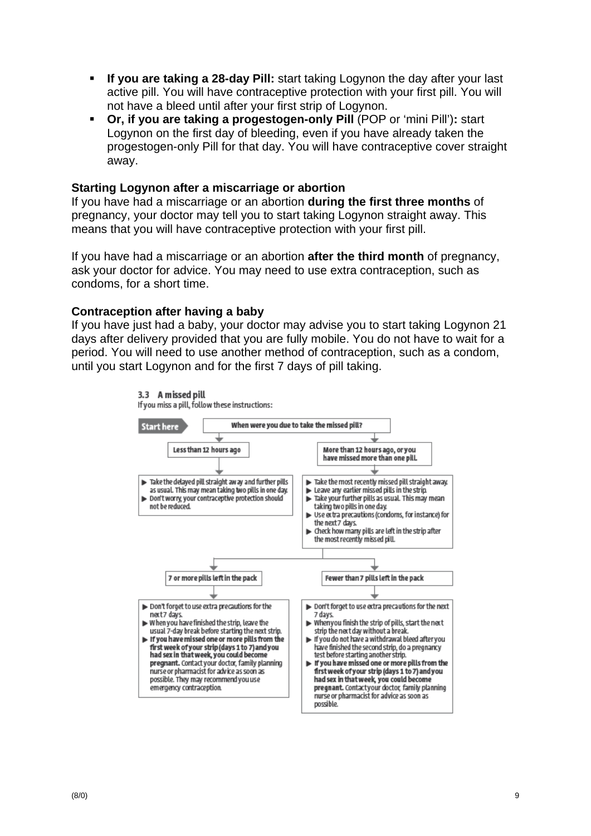- **If you are taking a 28-day Pill:** start taking Logynon the day after your last active pill. You will have contraceptive protection with your first pill. You will not have a bleed until after your first strip of Logynon.
- **Or, if you are taking a progestogen-only Pill** (POP or 'mini Pill')**:** start Logynon on the first day of bleeding, even if you have already taken the progestogen-only Pill for that day. You will have contraceptive cover straight away.

#### **Starting Logynon after a miscarriage or abortion**

If you have had a miscarriage or an abortion **during the first three months** of pregnancy, your doctor may tell you to start taking Logynon straight away. This means that you will have contraceptive protection with your first pill.

If you have had a miscarriage or an abortion **after the third month** of pregnancy, ask your doctor for advice. You may need to use extra contraception, such as condoms, for a short time.

#### **Contraception after having a baby**

If you have just had a baby, your doctor may advise you to start taking Logynon 21 days after delivery provided that you are fully mobile. You do not have to wait for a period. You will need to use another method of contraception, such as a condom, until you start Logynon and for the first 7 days of pill taking.

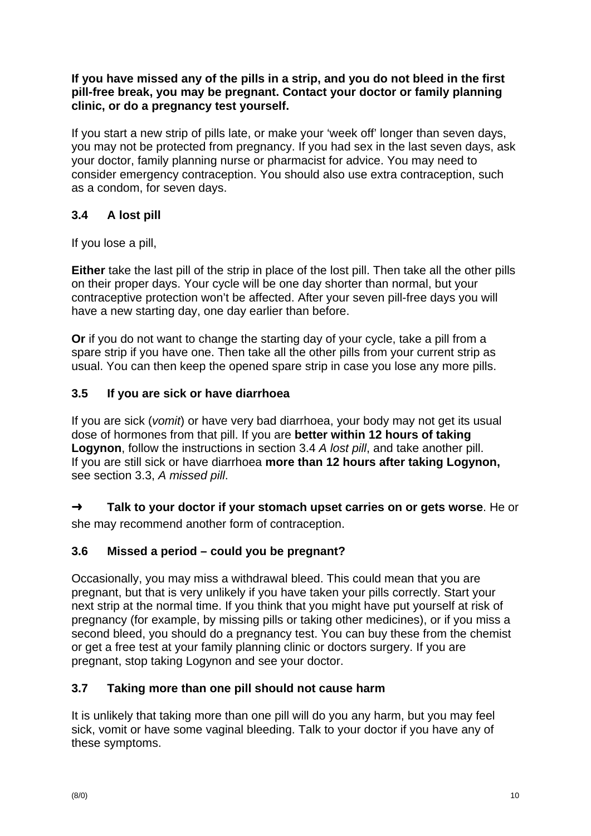**If you have missed any of the pills in a strip, and you do not bleed in the first pill-free break, you may be pregnant. Contact your doctor or family planning clinic, or do a pregnancy test yourself.** 

If you start a new strip of pills late, or make your 'week off' longer than seven days, you may not be protected from pregnancy. If you had sex in the last seven days, ask your doctor, family planning nurse or pharmacist for advice. You may need to consider emergency contraception. You should also use extra contraception, such as a condom, for seven days.

## **3.4 A lost pill**

If you lose a pill,

**Either** take the last pill of the strip in place of the lost pill. Then take all the other pills on their proper days. Your cycle will be one day shorter than normal, but your contraceptive protection won't be affected. After your seven pill-free days you will have a new starting day, one day earlier than before.

**Or** if you do not want to change the starting day of your cycle, take a pill from a spare strip if you have one. Then take all the other pills from your current strip as usual. You can then keep the opened spare strip in case you lose any more pills.

## **3.5 If you are sick or have diarrhoea**

If you are sick (*vomit*) or have very bad diarrhoea, your body may not get its usual dose of hormones from that pill. If you are **better within 12 hours of taking Logynon**, follow the instructions in section 3.4 *A lost pill*, and take another pill. If you are still sick or have diarrhoea **more than 12 hours after taking Logynon,** see section 3.3, *A missed pill*.

➜ **Talk to your doctor if your stomach upset carries on or gets worse**. He or she may recommend another form of contraception.

## **3.6 Missed a period – could you be pregnant?**

Occasionally, you may miss a withdrawal bleed. This could mean that you are pregnant, but that is very unlikely if you have taken your pills correctly. Start your next strip at the normal time. If you think that you might have put yourself at risk of pregnancy (for example, by missing pills or taking other medicines), or if you miss a second bleed, you should do a pregnancy test. You can buy these from the chemist or get a free test at your family planning clinic or doctors surgery. If you are pregnant, stop taking Logynon and see your doctor.

## **3.7 Taking more than one pill should not cause harm**

It is unlikely that taking more than one pill will do you any harm, but you may feel sick, vomit or have some vaginal bleeding. Talk to your doctor if you have any of these symptoms.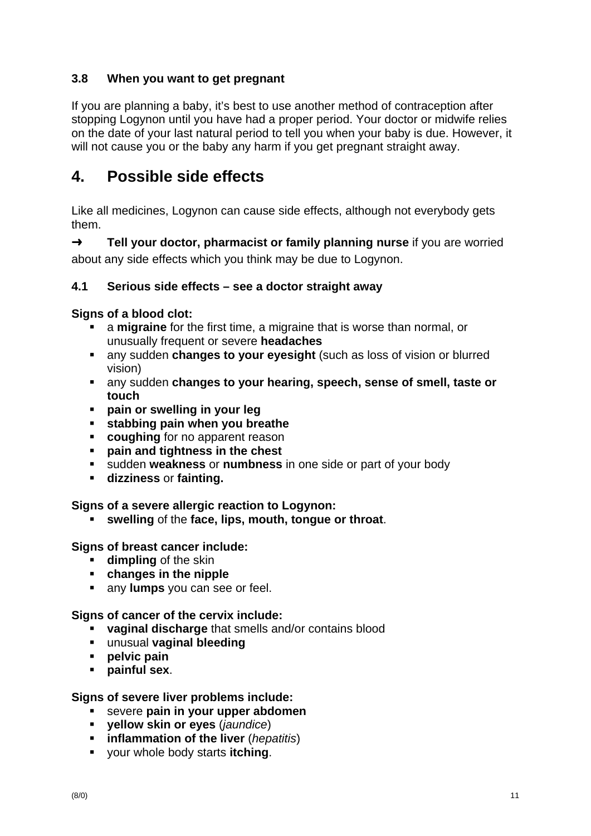## **3.8 When you want to get pregnant**

If you are planning a baby, it's best to use another method of contraception after stopping Logynon until you have had a proper period. Your doctor or midwife relies on the date of your last natural period to tell you when your baby is due. However, it will not cause you or the baby any harm if you get pregnant straight away.

# **4. Possible side effects**

Like all medicines, Logynon can cause side effects, although not everybody gets them.

➜ **Tell your doctor, pharmacist or family planning nurse** if you are worried about any side effects which you think may be due to Logynon.

## **4.1 Serious side effects – see a doctor straight away**

### **Signs of a blood clot:**

- a **migraine** for the first time, a migraine that is worse than normal, or unusually frequent or severe **headaches**
- any sudden **changes to your eyesight** (such as loss of vision or blurred vision)
- any sudden **changes to your hearing, speech, sense of smell, taste or touch**
- **pain or swelling in your leg**
- **stabbing pain when you breathe**
- **coughing** for no apparent reason
- **pain and tightness in the chest**
- sudden **weakness** or **numbness** in one side or part of your body
- **dizziness** or **fainting.**

### **Signs of a severe allergic reaction to Logynon:**

**swelling** of the **face, lips, mouth, tongue or throat**.

### **Signs of breast cancer include:**

- **dimpling** of the skin
- **changes in the nipple**
- **any lumps** you can see or feel.

### **Signs of cancer of the cervix include:**

- **vaginal discharge** that smells and/or contains blood
- unusual **vaginal bleeding**
- **pelvic pain**
- **painful sex**.

### **Signs of severe liver problems include:**

- severe **pain in your upper abdomen**
- **yellow skin or eyes** (*jaundice*)
- **inflammation of the liver** (*hepatitis*)
- your whole body starts **itching**.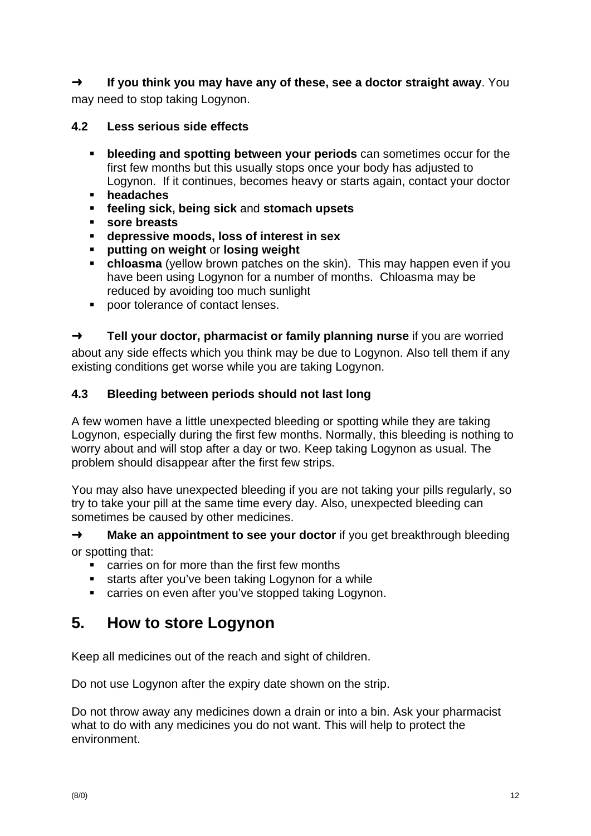➜ **If you think you may have any of these, see a doctor straight away**. You may need to stop taking Logynon.

## **4.2 Less serious side effects**

- **bleeding and spotting between your periods** can sometimes occur for the first few months but this usually stops once your body has adjusted to Logynon. If it continues, becomes heavy or starts again, contact your doctor
- **headaches**
- **feeling sick, being sick** and **stomach upsets**
- **sore breasts**
- **depressive moods, loss of interest in sex**
- **putting on weight** or **losing weight**
- **chloasma** (yellow brown patches on the skin). This may happen even if you have been using Logynon for a number of months. Chloasma may be reduced by avoiding too much sunlight
- **poor tolerance of contact lenses.**

➜ **Tell your doctor, pharmacist or family planning nurse** if you are worried about any side effects which you think may be due to Logynon. Also tell them if any existing conditions get worse while you are taking Logynon.

## **4.3 Bleeding between periods should not last long**

A few women have a little unexpected bleeding or spotting while they are taking Logynon, especially during the first few months. Normally, this bleeding is nothing to worry about and will stop after a day or two. Keep taking Logynon as usual. The problem should disappear after the first few strips.

You may also have unexpected bleeding if you are not taking your pills regularly, so try to take your pill at the same time every day. Also, unexpected bleeding can sometimes be caused by other medicines.

→ **Make an appointment to see your doctor** if you get breakthrough bleeding or spotting that:

- carries on for more than the first few months
- **starts after you've been taking Logynon for a while**
- carries on even after you've stopped taking Logynon.

# **5. How to store Logynon**

Keep all medicines out of the reach and sight of children.

Do not use Logynon after the expiry date shown on the strip.

Do not throw away any medicines down a drain or into a bin. Ask your pharmacist what to do with any medicines you do not want. This will help to protect the environment.